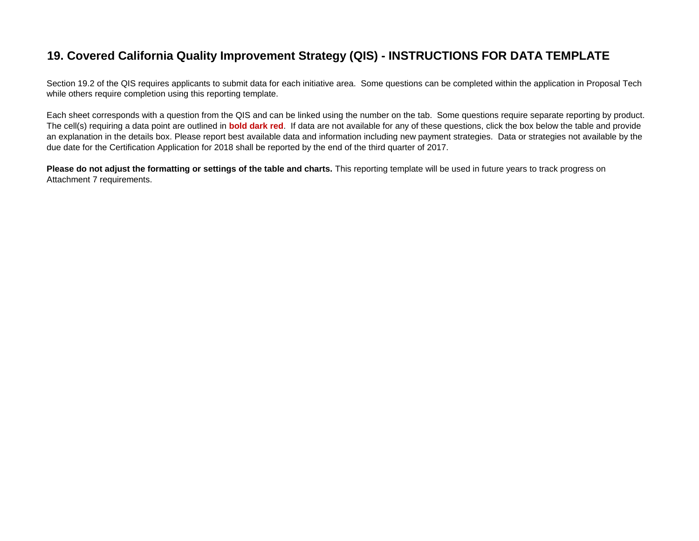# **19. Covered California Quality Improvement Strategy (QIS) - INSTRUCTIONS FOR DATA TEMPLATE**

Section 19.2 of the QIS requires applicants to submit data for each initiative area. Some questions can be completed within the application in Proposal Tech while others require completion using this reporting template.

Each sheet corresponds with a question from the QIS and can be linked using the number on the tab. Some questions require separate reporting by product. The cell(s) requiring a data point are outlined in **bold dark red**. If data are not available for any of these questions, click the box below the table and provide an explanation in the details box. Please report best available data and information including new payment strategies. Data or strategies not available by the due date for the Certification Application for 2018 shall be reported by the end of the third quarter of 2017.

Please do not adjust the formatting or settings of the table and charts. This reporting template will be used in future years to track progress on Attachment 7 requirements.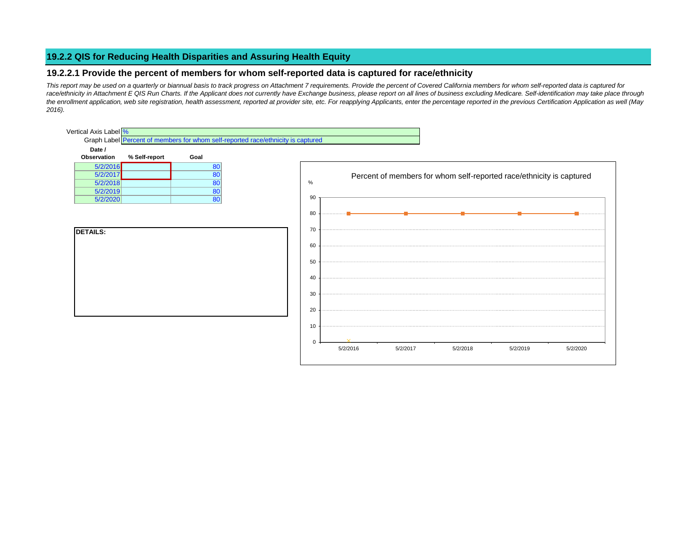# **19.2.2 QIS for Reducing Health Disparities and Assuring Health Equity**

# **19.2.2.1 Provide the percent of members for whom self-reported data is captured for race/ethnicity**

*This report may be used on a quarterly or biannual basis to track progress on Attachment 7 requirements. Provide the percent of Covered California members for whom self-reported data is captured for*  race/ethnicity in Attachment E QIS Run Charts. If the Applicant does not currently have Exchange business, please report on all lines of business excluding Medicare. Self-identification may take place through *the enrollment application, web site registration, health assessment, reported at provider site, etc. For reapplying Applicants, enter the percentage reported in the previous Certification Application as well (May 2016).*

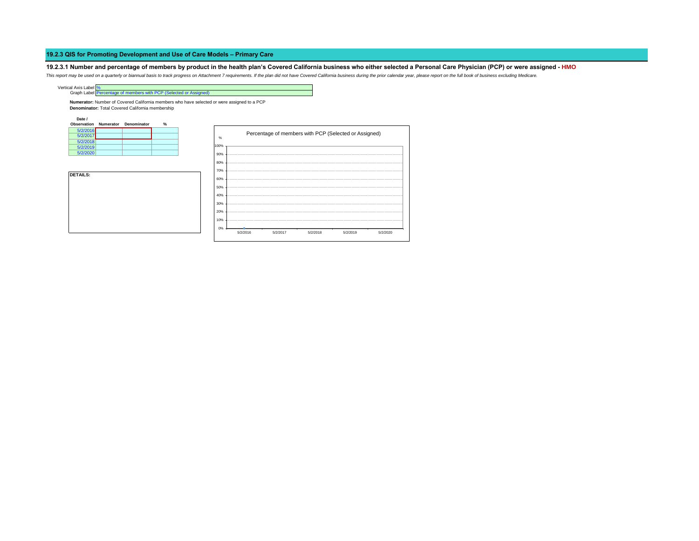# **19.2.3.1 Number and percentage of members by product in the health plan's Covered California business who either selected a Personal Care Physician (PCP) or were assigned - HMO**

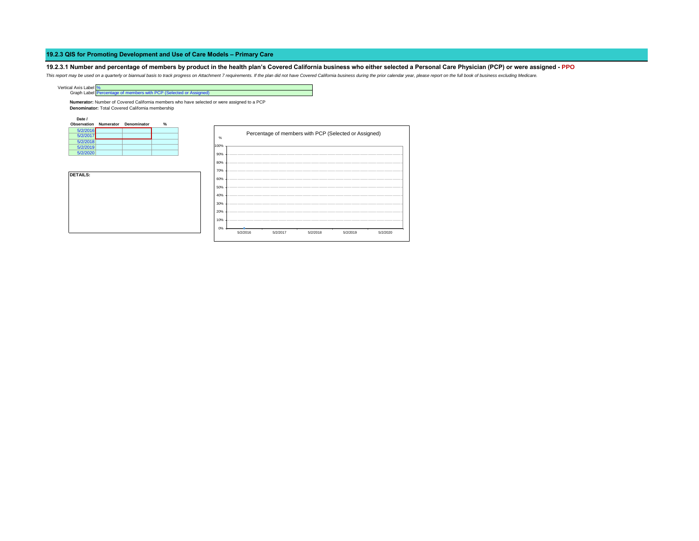# **19.2.3.1 Number and percentage of members by product in the health plan's Covered California business who either selected a Personal Care Physician (PCP) or were assigned - PPO**

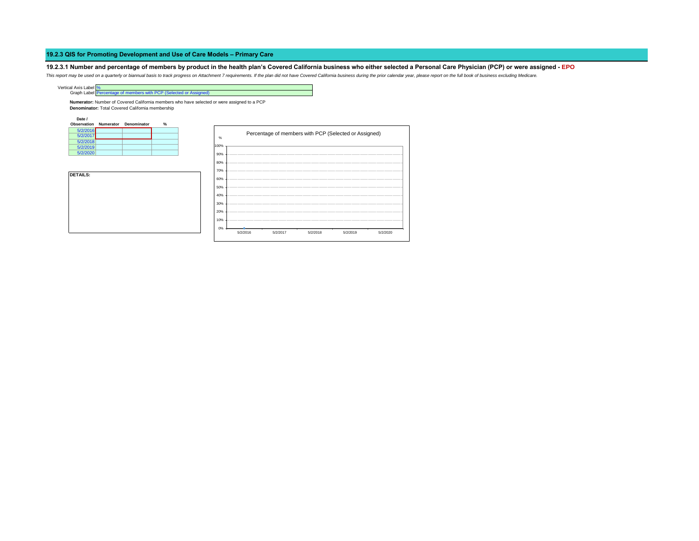# **19.2.3.1 Number and percentage of members by product in the health plan's Covered California business who either selected a Personal Care Physician (PCP) or were assigned - EPO**

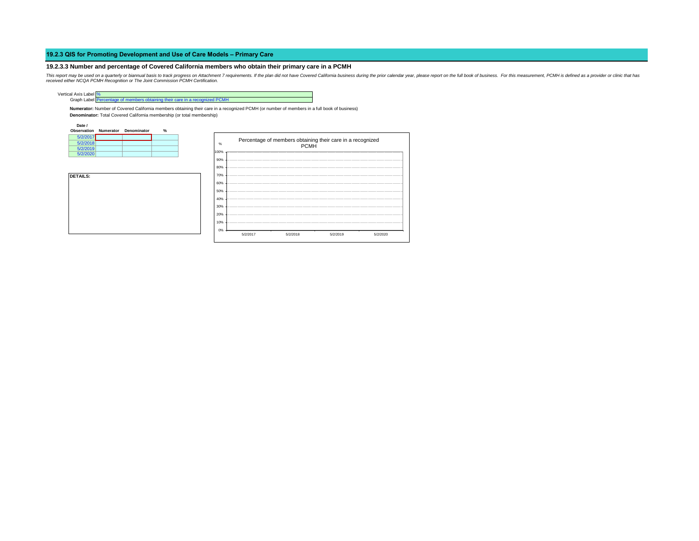#### **19.2.3.3 Number and percentage of Covered California members who obtain their primary care in a PCMH**



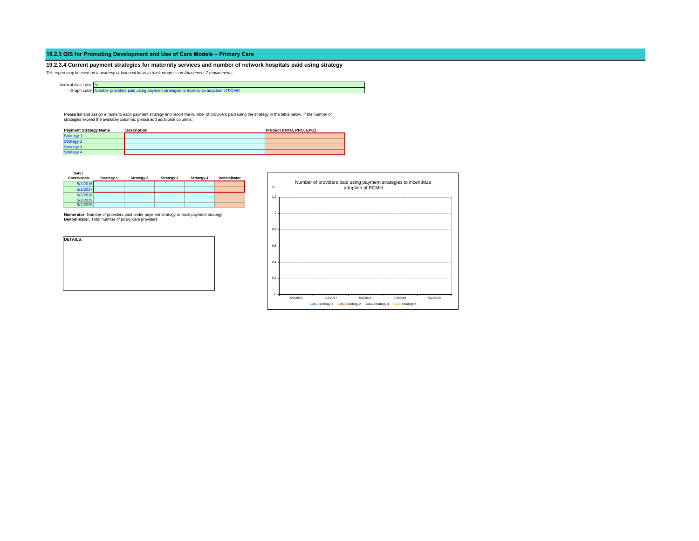**19.2.3.4 Current payment strategies for maternity services and number of network hospitals paid using strategy** *This report may be used on a quarterly or biannual basis to track progress on Attachment 7 requirements.*

Graph Label Number providers paid using payment strategies to incentivize adoption of PCMH

Please list and assign a name to each payment strategy and report the number of providers paid using the strategy in the table below. If the number of<br>strategies exceed the available columns, please add additional columns.

| <b>Payment Strategy Name</b> | <b>Description</b> | Product (HMO, PPO, EPO) |
|------------------------------|--------------------|-------------------------|
| <b>Strategy 1</b>            |                    |                         |
| <b>Strategy 2</b>            |                    |                         |
| <b>Strategy 3</b>            |                    |                         |
| <b>Strategy 4</b>            |                    |                         |

**Date /** 

Vertical Axis Label %

| Observation | Strategy 1 | Strategy 2 | Strategy 3 | Strategy 4 | Denominator |
|-------------|------------|------------|------------|------------|-------------|
| 5/2/2016    |            |            |            |            |             |
| 5/2/2017    |            |            |            |            |             |
| 5/2/2018    |            |            |            |            |             |
| 5/2/2019    |            |            |            |            |             |
| 5/2/2020    |            |            |            |            |             |

**Numerator:** Number of providers paid under payment strategy or each payment strategy **Denominator:** Total number of priary care providers



| %   |          |          | adoption of PCMH | Number of providers paid using payment strategies to incentivize |          |
|-----|----------|----------|------------------|------------------------------------------------------------------|----------|
| 1.2 |          |          |                  |                                                                  |          |
| 1   |          |          |                  |                                                                  |          |
| 0.8 |          |          |                  |                                                                  |          |
| 0.6 |          |          |                  |                                                                  |          |
| 0.4 |          |          |                  |                                                                  |          |
| 0.2 |          |          |                  |                                                                  |          |
| O   | 5/2/2016 | 5/2/2017 | 5/2/2018         | 5/2/2019                                                         | 5/2/2020 |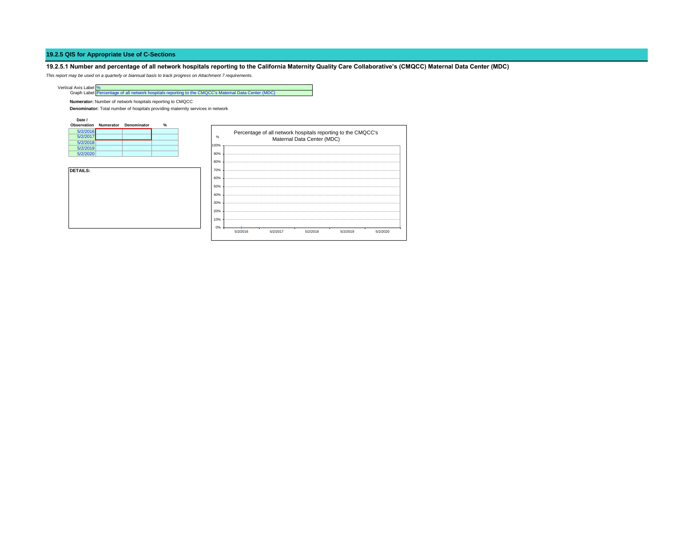# **19.2.5 QIS for Appropriate Use of C-Sections**

**19.2.5.1 Number and percentage of all network hospitals reporting to the California Maternity Quality Care Collaborative's (CMQCC) Maternal Data Center (MDC)**

*This report may be used on a quarterly or biannual basis to track progress on Attachment 7 requirements.*

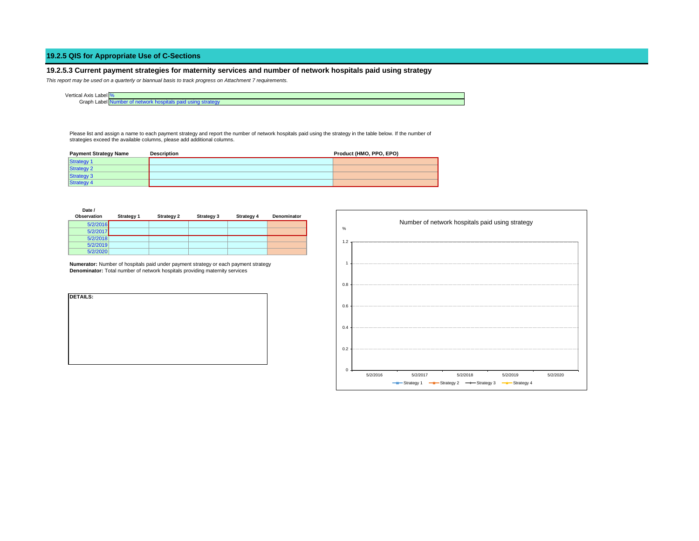# **19.2.5 QIS for Appropriate Use of C-Sections**

# **19.2.5.3 Current payment strategies for maternity services and number of network hospitals paid using strategy**

*This report may be used on a quarterly or biannual basis to track progress on Attachment 7 requirements.*

| . .<br>Lobel <sup>o</sup><br>Vertica<br>Axis<br>Labell<br>. |  |
|-------------------------------------------------------------|--|
| . .<br>Graph<br>Label P                                     |  |

Please list and assign a name to each payment strategy and report the number of network hospitals paid using the strategy in the table below. If the number of strategies exceed the available columns, please add additional columns.

| <b>Payment Strategy Name</b> | <b>Description</b> | Product (HMO, PPO, EPO) |  |  |
|------------------------------|--------------------|-------------------------|--|--|
| <b>Strategy 1</b>            |                    |                         |  |  |
| <b>Strategy 2</b>            |                    |                         |  |  |
| <b>Strategy 3</b>            |                    |                         |  |  |
| <b>Strategy 4</b>            |                    |                         |  |  |

| Date /<br>Observation | <b>Strategy 1</b> | <b>Strategy 2</b> | Strategy 3 | Strategy 4 | Denominator |
|-----------------------|-------------------|-------------------|------------|------------|-------------|
| 5/2/2016              |                   |                   |            |            |             |
| 5/2/2017              |                   |                   |            |            |             |
| 5/2/2018              |                   |                   |            |            |             |
| 5/2/2019              |                   |                   |            |            |             |
| 5/2/2020              |                   |                   |            |            |             |

**Numerator:** Number of hospitals paid under payment strategy or each payment strategy **Denominator:** Total number of network hospitals providing maternity services

| <b>DETAILS:</b> |  |  |  |
|-----------------|--|--|--|
|                 |  |  |  |
|                 |  |  |  |
|                 |  |  |  |
|                 |  |  |  |
|                 |  |  |  |
|                 |  |  |  |
|                 |  |  |  |

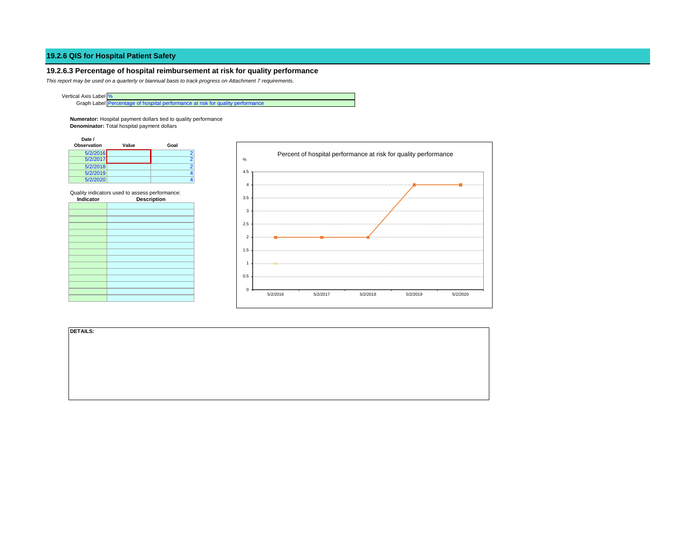# **19.2.6 QIS for Hospital Patient Safety**

# **19.2.6.3 Percentage of hospital reimbursement at risk for quality performance**

*This report may be used on a quarterly or biannual basis to track progress on Attachment 7 requirements.*